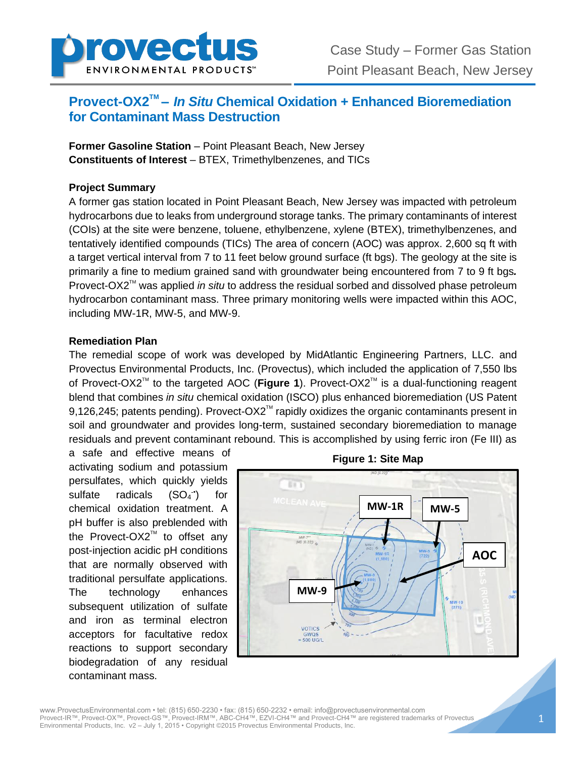

# **Provect-OX2<sup>™</sup> –** *In Situ* **Chemical Oxidation + Enhanced Bioremediation for Contaminant Mass Destruction**

**Former Gasoline Station** – Point Pleasant Beach, New Jersey **Constituents of Interest** – BTEX, Trimethylbenzenes, and TICs

### **Project Summary**

A former gas station located in Point Pleasant Beach, New Jersey was impacted with petroleum hydrocarbons due to leaks from underground storage tanks. The primary contaminants of interest (COIs) at the site were benzene, toluene, ethylbenzene, xylene (BTEX), trimethylbenzenes, and tentatively identified compounds (TICs) The area of concern (AOC) was approx. 2,600 sq ft with a target vertical interval from 7 to 11 feet below ground surface (ft bgs). The geology at the site is primarily a fine to medium grained sand with groundwater being encountered from 7 to 9 ft bgs*.* Provect-OX2<sup>™</sup> was applied *in situ* to address the residual sorbed and dissolved phase petroleum hydrocarbon contaminant mass. Three primary monitoring wells were impacted within this AOC, including MW-1R, MW-5, and MW-9.

#### **Remediation Plan**

The remedial scope of work was developed by MidAtlantic Engineering Partners, LLC. and Provectus Environmental Products, Inc. (Provectus), which included the application of 7,550 lbs of Provect-OX2<sup>™</sup> to the targeted AOC (**Figure 1**). Provect-OX2™ is a dual-functioning reagent blend that combines *in situ* chemical oxidation (ISCO) plus enhanced bioremediation (US Patent 9,126,245; patents pending). Provect-OX2™ rapidly oxidizes the organic contaminants present in soil and groundwater and provides long-term, sustained secondary bioremediation to manage residuals and prevent contaminant rebound. This is accomplished by using ferric iron (Fe III) as

a safe and effective means of activating sodium and potassium persulfates, which quickly yields sulfate radicals  $(SO_4^{\cdot\cdot})$ ) for chemical oxidation treatment. A pH buffer is also preblended with the Provect-OX2<sup>™</sup> to offset any post-injection acidic pH conditions that are normally observed with traditional persulfate applications. The technology enhances subsequent utilization of sulfate and iron as terminal electron acceptors for facultative redox reactions to support secondary biodegradation of any residual contaminant mass.



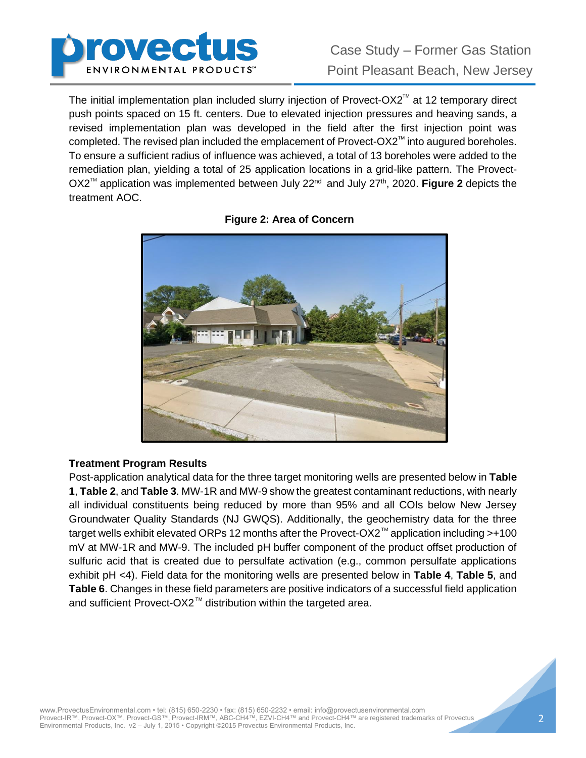

The initial implementation plan included slurry injection of Provect-OX2<sup>TM</sup> at 12 temporary direct push points spaced on 15 ft. centers. Due to elevated injection pressures and heaving sands, a revised implementation plan was developed in the field after the first injection point was completed. The revised plan included the emplacement of Provect-OX2<sup>TM</sup> into augured boreholes. To ensure a sufficient radius of influence was achieved, a total of 13 boreholes were added to the remediation plan, yielding a total of 25 application locations in a grid-like pattern. The Provect-OX2<sup>™</sup> application was implemented between July 22<sup>nd</sup> and July 27<sup>th</sup>, 2020. **Figure 2** depicts the treatment AOC.



**Figure 2: Area of Concern**

### **Treatment Program Results**

Post-application analytical data for the three target monitoring wells are presented below in **Table 1**, **Table 2**, and **Table 3**. MW-1R and MW-9 show the greatest contaminant reductions, with nearly all individual constituents being reduced by more than 95% and all COIs below New Jersey Groundwater Quality Standards (NJ GWQS). Additionally, the geochemistry data for the three target wells exhibit elevated ORPs 12 months after the Provect-OX2<sup>™</sup> application including >+100 mV at MW-1R and MW-9. The included pH buffer component of the product offset production of sulfuric acid that is created due to persulfate activation (e.g., common persulfate applications exhibit pH <4). Field data for the monitoring wells are presented below in **Table 4**, **Table 5**, and **Table 6**. Changes in these field parameters are positive indicators of a successful field application and sufficient Provect-OX2<sup>™</sup> distribution within the targeted area.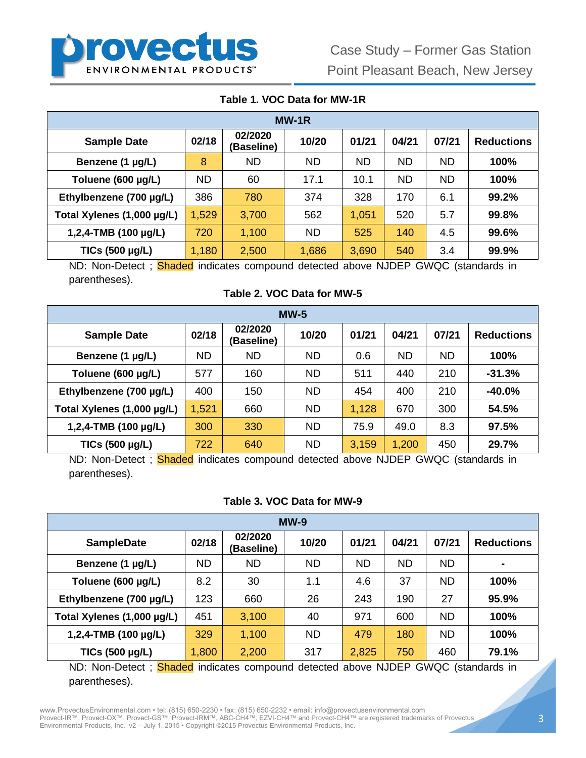

## **Table 1. VOC Data for MW-1R**

| $MW-1R$                    |           |                       |           |           |           |           |                   |  |
|----------------------------|-----------|-----------------------|-----------|-----------|-----------|-----------|-------------------|--|
| <b>Sample Date</b>         | 02/18     | 02/2020<br>(Baseline) | 10/20     | 01/21     | 04/21     | 07/21     | <b>Reductions</b> |  |
| Benzene (1 µg/L)           | 8         | <b>ND</b>             | <b>ND</b> | <b>ND</b> | <b>ND</b> | <b>ND</b> | 100%              |  |
| Toluene (600 µg/L)         | <b>ND</b> | 60                    | 17.1      | 10.1      | <b>ND</b> | <b>ND</b> | 100%              |  |
| Ethylbenzene (700 µg/L)    | 386       | 780                   | 374       | 328       | 170       | 6.1       | 99.2%             |  |
| Total Xylenes (1,000 µg/L) | 1,529     | 3,700                 | 562       | 1,051     | 520       | 5.7       | 99.8%             |  |
| 1,2,4-TMB (100 µg/L)       | 720       | 1,100                 | <b>ND</b> | 525       | 140       | 4.5       | 99.6%             |  |
| TICs (500 µg/L)            | 1,180     | 2,500                 | 1,686     | 3,690     | 540       | 3.4       | 99.9%             |  |

ND: Non-Detect; Shaded indicates compound detected above NJDEP GWQC (standards in parentheses).

**Table 2. VOC Data for MW-5**

| $MW-5$                     |           |                       |           |       |           |           |                   |  |
|----------------------------|-----------|-----------------------|-----------|-------|-----------|-----------|-------------------|--|
| <b>Sample Date</b>         | 02/18     | 02/2020<br>(Baseline) | 10/20     | 01/21 | 04/21     | 07/21     | <b>Reductions</b> |  |
| Benzene (1 µg/L)           | <b>ND</b> | <b>ND</b>             | <b>ND</b> | 0.6   | <b>ND</b> | <b>ND</b> | 100%              |  |
| Toluene (600 µg/L)         | 577       | 160                   | <b>ND</b> | 511   | 440       | 210       | $-31.3%$          |  |
| Ethylbenzene (700 µg/L)    | 400       | 150                   | <b>ND</b> | 454   | 400       | 210       | $-40.0%$          |  |
| Total Xylenes (1,000 µg/L) | 1,521     | 660                   | <b>ND</b> | 1,128 | 670       | 300       | 54.5%             |  |
| 1,2,4-TMB (100 µg/L)       | 300       | 330                   | <b>ND</b> | 75.9  | 49.0      | 8.3       | 97.5%             |  |
| TICs (500 µg/L)            | 722       | 640                   | <b>ND</b> | 3,159 | 1,200     | 450       | 29.7%             |  |

ND: Non-Detect ; **Shaded** indicates compound detected above NJDEP GWQC (standards in parentheses).

### **Table 3. VOC Data for MW-9**

| $MW-9$                     |           |                       |           |           |           |           |                   |  |
|----------------------------|-----------|-----------------------|-----------|-----------|-----------|-----------|-------------------|--|
| <b>SampleDate</b>          | 02/18     | 02/2020<br>(Baseline) | 10/20     | 01/21     | 04/21     | 07/21     | <b>Reductions</b> |  |
| Benzene (1 µg/L)           | <b>ND</b> | <b>ND</b>             | <b>ND</b> | <b>ND</b> | <b>ND</b> | <b>ND</b> | $\blacksquare$    |  |
| Toluene (600 µg/L)         | 8.2       | 30                    | 1.1       | 4.6       | 37        | <b>ND</b> | 100%              |  |
| Ethylbenzene (700 µg/L)    | 123       | 660                   | 26        | 243       | 190       | 27        | 95.9%             |  |
| Total Xylenes (1,000 µg/L) | 451       | 3,100                 | 40        | 971       | 600       | <b>ND</b> | 100%              |  |
| 1,2,4-TMB $(100 \mu g/L)$  | 329       | 1,100                 | <b>ND</b> | 479       | 180       | <b>ND</b> | 100%              |  |
| TICs (500 µg/L)            | 1,800     | 2,200                 | 317       | 2,825     | 750       | 460       | 79.1%             |  |

ND: Non-Detect; Shaded indicates compound detected above NJDEP GWQC (standards in parentheses).